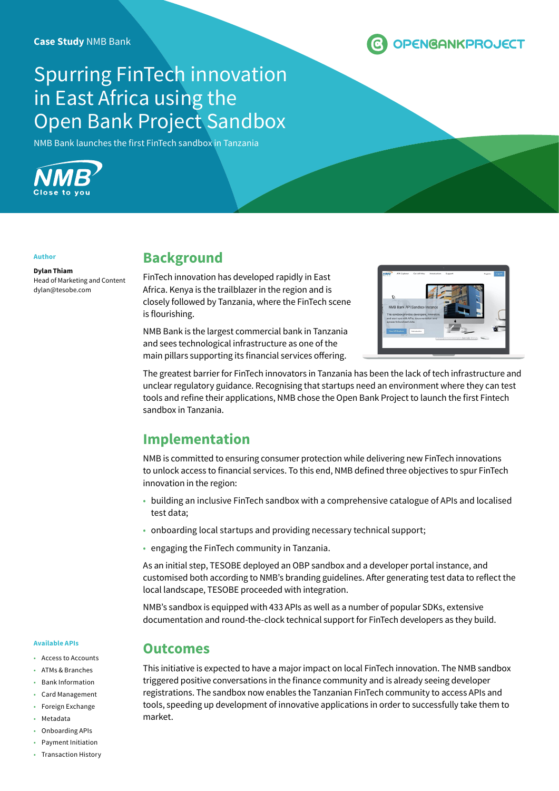

# Spurring FinTech innovation in East Africa using the Open Bank Project Sandbox

NMB Bank launches the first FinTech sandbox in Tanzania



#### **Author**

**Dylan Thiam** Head of Marketing and Content dylan@tesobe.com

### **Background**

FinTech innovation has developed rapidly in East Africa. Kenya is the trailblazer in the region and is closely followed by Tanzania, where the FinTech scene is flourishing.

NMB Bank is the largest commercial bank in Tanzania and sees technological infrastructure as one of the main pillars supporting its financial services offering.



The greatest barrier for FinTech innovators in Tanzania has been the lack of tech infrastructure and unclear regulatory guidance. Recognising that startups need an environment where they can test tools and refine their applications, NMB chose the Open Bank Project to launch the first Fintech sandbox in Tanzania.

## **Implementation**

**Outcomes**

NMB is committed to ensuring consumer protection while delivering new FinTech innovations to unlock access to financial services. To this end, NMB defined three objectives to spur FinTech innovation in the region:

- building an inclusive FinTech sandbox with a comprehensive catalogue of APIs and localised test data;
- onboarding local startups and providing necessary technical support;
- engaging the FinTech community in Tanzania.

As an initial step, TESOBE deployed an OBP sandbox and a developer portal instance, and customised both according to NMB's branding guidelines. After generating test data to reflect the local landscape, TESOBE proceeded with integration.

NMB's sandbox is equipped with 433 APIs as well as a number of popular SDKs, extensive documentation and round-the-clock technical support for FinTech developers as they build.

#### **Available APIs**

- Access to Accounts
- ATMs & Branches
- Bank Information
- Card Management
- Foreign Exchange
- **Metadata**
- Onboarding APIs
- Payment Initiation
- Transaction History

This initiative is expected to have a major impact on local FinTech innovation. The NMB sandbox triggered positive conversations in the finance community and is already seeing developer registrations. The sandbox now enables the Tanzanian FinTech community to access APIs and tools, speeding up development of innovative applications in order to successfully take them to market.